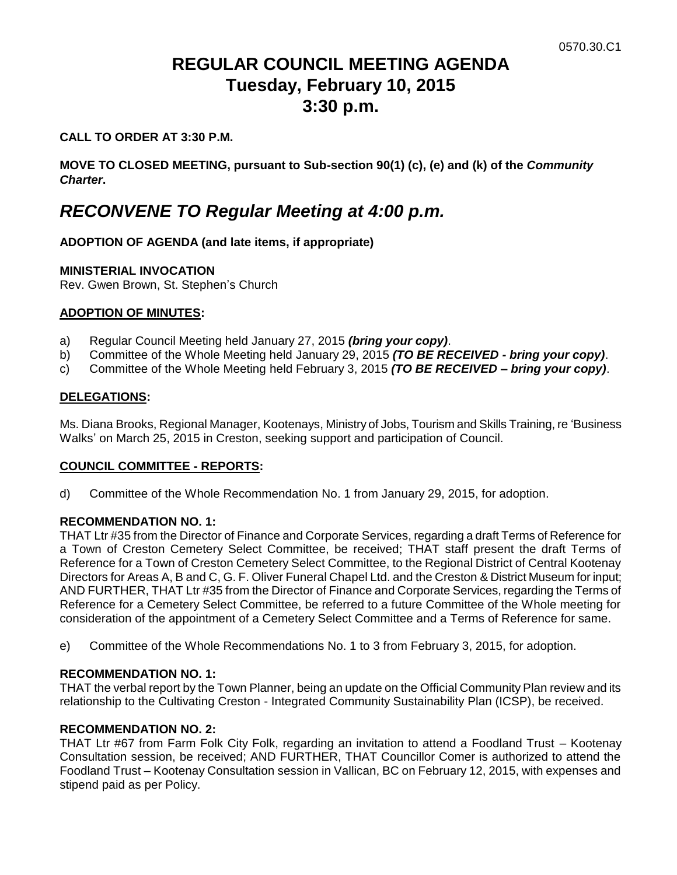# **REGULAR COUNCIL MEETING AGENDA Tuesday, February 10, 2015 3:30 p.m.**

## **CALL TO ORDER AT 3:30 P.M.**

**MOVE TO CLOSED MEETING, pursuant to Sub-section 90(1) (c), (e) and (k) of the** *Community Charter***.**

# *RECONVENE TO Regular Meeting at 4:00 p.m.*

### **ADOPTION OF AGENDA (and late items, if appropriate)**

### **MINISTERIAL INVOCATION**

Rev. Gwen Brown, St. Stephen's Church

### **ADOPTION OF MINUTES:**

- a) Regular Council Meeting held January 27, 2015 *(bring your copy)*.
- b) Committee of the Whole Meeting held January 29, 2015 *(TO BE RECEIVED - bring your copy)*.
- c) Committee of the Whole Meeting held February 3, 2015 *(TO BE RECEIVED – bring your copy)*.

### **DELEGATIONS:**

Ms. Diana Brooks, Regional Manager, Kootenays, Ministry of Jobs, Tourism and Skills Training, re 'Business Walks' on March 25, 2015 in Creston, seeking support and participation of Council.

### **COUNCIL COMMITTEE - REPORTS:**

d) Committee of the Whole Recommendation No. 1 from January 29, 2015, for adoption.

### **RECOMMENDATION NO. 1:**

THAT Ltr #35 from the Director of Finance and Corporate Services, regarding a draft Terms of Reference for a Town of Creston Cemetery Select Committee, be received; THAT staff present the draft Terms of Reference for a Town of Creston Cemetery Select Committee, to the Regional District of Central Kootenay Directors for Areas A, B and C, G. F. Oliver Funeral Chapel Ltd. and the Creston & District Museum for input; AND FURTHER, THAT Ltr #35 from the Director of Finance and Corporate Services, regarding the Terms of Reference for a Cemetery Select Committee, be referred to a future Committee of the Whole meeting for consideration of the appointment of a Cemetery Select Committee and a Terms of Reference for same.

e) Committee of the Whole Recommendations No. 1 to 3 from February 3, 2015, for adoption.

### **RECOMMENDATION NO. 1:**

THAT the verbal report by the Town Planner, being an update on the Official Community Plan review and its relationship to the Cultivating Creston - Integrated Community Sustainability Plan (ICSP), be received.

### **RECOMMENDATION NO. 2:**

THAT Ltr #67 from Farm Folk City Folk, regarding an invitation to attend a Foodland Trust – Kootenay Consultation session, be received; AND FURTHER, THAT Councillor Comer is authorized to attend the Foodland Trust – Kootenay Consultation session in Vallican, BC on February 12, 2015, with expenses and stipend paid as per Policy.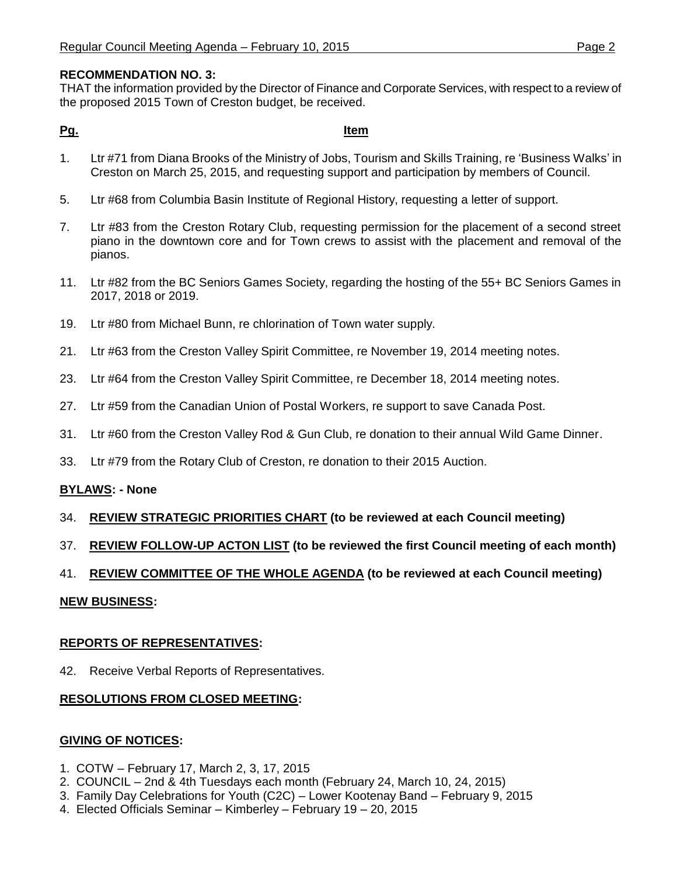### **RECOMMENDATION NO. 3:**

THAT the information provided by the Director of Finance and Corporate Services, with respect to a review of the proposed 2015 Town of Creston budget, be received.

### **Pg. Item**

- 1. Ltr #71 from Diana Brooks of the Ministry of Jobs, Tourism and Skills Training, re 'Business Walks' in Creston on March 25, 2015, and requesting support and participation by members of Council.
- 5. Ltr #68 from Columbia Basin Institute of Regional History, requesting a letter of support.
- 7. Ltr #83 from the Creston Rotary Club, requesting permission for the placement of a second street piano in the downtown core and for Town crews to assist with the placement and removal of the pianos.
- 11. Ltr #82 from the BC Seniors Games Society, regarding the hosting of the 55+ BC Seniors Games in 2017, 2018 or 2019.
- 19. Ltr #80 from Michael Bunn, re chlorination of Town water supply.
- 21. Ltr #63 from the Creston Valley Spirit Committee, re November 19, 2014 meeting notes.
- 23. Ltr #64 from the Creston Valley Spirit Committee, re December 18, 2014 meeting notes.
- 27. Ltr #59 from the Canadian Union of Postal Workers, re support to save Canada Post.
- 31. Ltr #60 from the Creston Valley Rod & Gun Club, re donation to their annual Wild Game Dinner.
- 33. Ltr #79 from the Rotary Club of Creston, re donation to their 2015 Auction.

### **BYLAWS: - None**

- 34. **REVIEW STRATEGIC PRIORITIES CHART (to be reviewed at each Council meeting)**
- 37. **REVIEW FOLLOW-UP ACTON LIST (to be reviewed the first Council meeting of each month)**
- 41. **REVIEW COMMITTEE OF THE WHOLE AGENDA (to be reviewed at each Council meeting)**

### **NEW BUSINESS:**

### **REPORTS OF REPRESENTATIVES:**

42. Receive Verbal Reports of Representatives.

### **RESOLUTIONS FROM CLOSED MEETING:**

### **GIVING OF NOTICES:**

- 1. COTW February 17, March 2, 3, 17, 2015
- 2. COUNCIL 2nd & 4th Tuesdays each month (February 24, March 10, 24, 2015)
- 3. Family Day Celebrations for Youth (C2C) Lower Kootenay Band February 9, 2015
- 4. Elected Officials Seminar Kimberley February 19 20, 2015